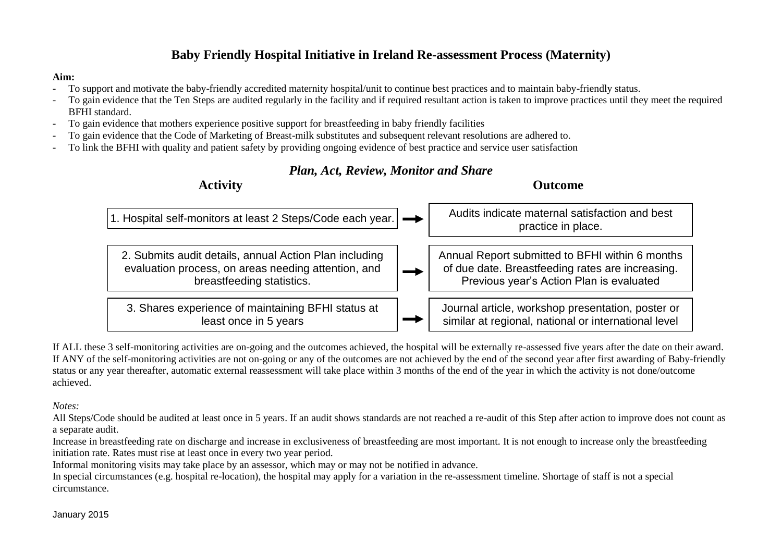## **Baby Friendly Hospital Initiative in Ireland Re-assessment Process (Maternity)**

## **Aim:**

- To support and motivate the baby-friendly accredited maternity hospital/unit to continue best practices and to maintain baby-friendly status.
- To gain evidence that the Ten Steps are audited regularly in the facility and if required resultant action is taken to improve practices until they meet the required BFHI standard.
- To gain evidence that mothers experience positive support for breastfeeding in baby friendly facilities
- To gain evidence that the Code of Marketing of Breast-milk substitutes and subsequent relevant resolutions are adhered to.
- To link the BFHI with quality and patient safety by providing ongoing evidence of best practice and service user satisfaction

## *Plan, Act, Review, Monitor and Share*



If ALL these 3 self-monitoring activities are on-going and the outcomes achieved, the hospital will be externally re-assessed five years after the date on their award. If ANY of the self-monitoring activities are not on-going or any of the outcomes are not achieved by the end of the second year after first awarding of Baby-friendly status or any year thereafter, automatic external reassessment will take place within 3 months of the end of the year in which the activity is not done/outcome achieved.

*Notes:* 

All Steps/Code should be audited at least once in 5 years. If an audit shows standards are not reached a re-audit of this Step after action to improve does not count as a separate audit.

Increase in breastfeeding rate on discharge and increase in exclusiveness of breastfeeding are most important. It is not enough to increase only the breastfeeding initiation rate. Rates must rise at least once in every two year period.

Informal monitoring visits may take place by an assessor, which may or may not be notified in advance.

In special circumstances (e.g. hospital re-location), the hospital may apply for a variation in the re-assessment timeline. Shortage of staff is not a special circumstance.